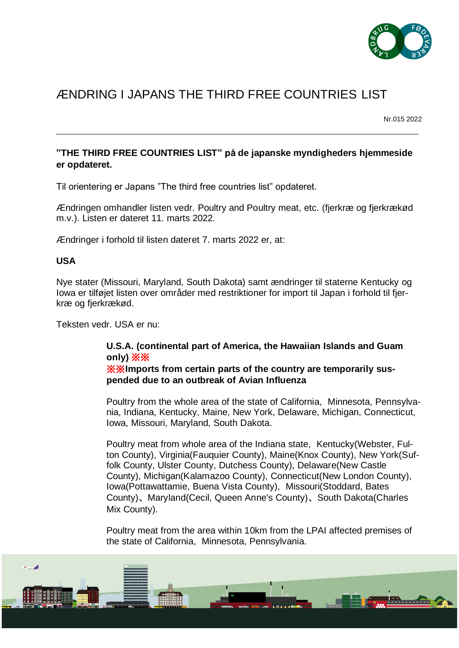

## ÆNDRING I JAPANS THE THIRD FREE COUNTRIES LIST

Nr.015 2022

## **"THE THIRD FREE COUNTRIES LIST" på de japanske myndigheders hjemmeside er opdateret.**

 $\_$  ,  $\_$  ,  $\_$  ,  $\_$  ,  $\_$  ,  $\_$  ,  $\_$  ,  $\_$  ,  $\_$  ,  $\_$  ,  $\_$  ,  $\_$  ,  $\_$  ,  $\_$  ,  $\_$  ,  $\_$  ,  $\_$  ,  $\_$  ,  $\_$  ,  $\_$  ,  $\_$  ,  $\_$  ,  $\_$  ,  $\_$  ,  $\_$  ,  $\_$  ,  $\_$  ,  $\_$  ,  $\_$  ,  $\_$  ,  $\_$  ,  $\_$  ,  $\_$  ,  $\_$  ,  $\_$  ,  $\_$  ,  $\_$  ,

Til orientering er Japans "The third free countries list" opdateret.

Ændringen omhandler listen vedr. Poultry and Poultry meat, etc. (fjerkræ og fjerkrækød m.v.). Listen er dateret 11. marts 2022.

Ændringer i forhold til listen dateret 7. marts 2022 er, at:

## **USA**

Nye stater (Missouri, Maryland, South Dakota) samt ændringer til staterne Kentucky og Iowa er tilføjet listen over områder med restriktioner for import til Japan i forhold til fjerkræ og fjerkrækød.

Teksten vedr. USA er nu:

## **U.S.A. (continental part of America, the Hawaiian Islands and Guam only)** ※※ ※※**Imports from certain parts of the country are temporarily sus-**

**pended due to an outbreak of Avian Influenza**

Poultry from the whole area of the state of California, Minnesota, Pennsylvania, Indiana, Kentucky, Maine, New York, Delaware, Michigan, Connecticut, Iowa, Missouri, Maryland, South Dakota.

Poultry meat from whole area of the Indiana state, Kentucky(Webster, Fulton County), Virginia(Fauquier County), Maine(Knox County), New York(Suffolk County, Ulster County, Dutchess County), Delaware(New Castle County), Michigan(Kalamazoo County), Connecticut(New London County), Iowa(Pottawattamie, Buena Vista County), Missouri(Stoddard, Bates County)、Maryland(Cecil, Queen Anne's County)、South Dakota(Charles Mix County).

Poultry meat from the area within 10km from the LPAI affected premises of the state of California, Minnesota, Pennsylvania.